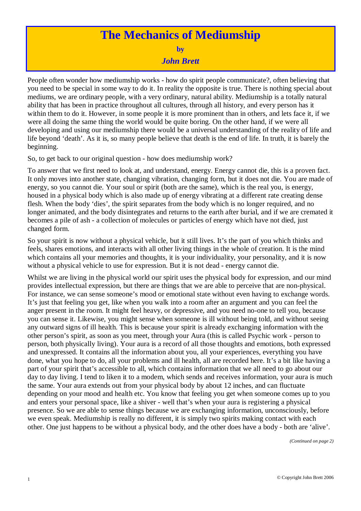## **The Mechanics of Mediumship**

**by**

*John Brett*

People often wonder how mediumship works - how do spirit people communicate?, often believing that you need to be special in some way to do it. In reality the opposite is true. There is nothing special about mediums, we are ordinary people, with a very ordinary, natural ability. Mediumship is a totally natural ability that has been in practice throughout all cultures, through all history, and every person has it within them to do it. However, in some people it is more prominent than in others, and lets face it, if we were all doing the same thing the world would be quite boring. On the other hand, if we were all developing and using our mediumship there would be a universal understanding of the reality of life and life beyond 'death'. As it is, so many people believe that death is the end of life. In truth, it is barely the beginning.

So, to get back to our original question - how does mediumship work?

To answer that we first need to look at, and understand, energy. Energy cannot die, this is a proven fact. It only moves into another state, changing vibration, changing form, but it does not die. You are made of energy, so you cannot die. Your soul or spirit (both are the same), which is the real you, is energy, housed in a physical body which is also made up of energy vibrating at a different rate creating dense flesh. When the body 'dies', the spirit separates from the body which is no longer required, and no longer animated, and the body disintegrates and returns to the earth after burial, and if we are cremated it becomes a pile of ash - a collection of molecules or particles of energy which have not died, just changed form.

So your spirit is now without a physical vehicle, but it still lives. It's the part of you which thinks and feels, shares emotions, and interacts with all other living things in the whole of creation. It is the mind which contains all your memories and thoughts, it is your individuality, your personality, and it is now without a physical vehicle to use for expression. But it is not dead - energy cannot die.

Whilst we are living in the physical world our spirit uses the physical body for expression, and our mind provides intellectual expression, but there are things that we are able to perceive that are non-physical. For instance, we can sense someone's mood or emotional state without even having to exchange words. It's just that feeling you get, like when you walk into a room after an argument and you can feel the anger present in the room. It might feel heavy, or depressive, and you need no-one to tell you, because you can sense it. Likewise, you might sense when someone is ill without being told, and without seeing any outward signs of ill health. This is because your spirit is already exchanging information with the other person's spirit, as soon as you meet, through your Aura (this is called Psychic work - person to person, both physically living). Your aura is a record of all those thoughts and emotions, both expressed and unexpressed. It contains all the information about you, all your experiences, everything you have done, what you hope to do, all your problems and ill health, all are recorded here. It's a bit like having a part of your spirit that's accessible to all, which contains information that we all need to go about our day to day living. I tend to liken it to a modem, which sends and receives information, your aura is much the same. Your aura extends out from your physical body by about 12 inches, and can fluctuate depending on your mood and health etc. You know that feeling you get when someone comes up to you and enters your personal space, like a shiver - well that's when your aura is registering a physical presence. So we are able to sense things because we are exchanging information, unconsciously, before we even speak. Mediumship is really no different, it is simply two spirits making contact with each other. One just happens to be without a physical body, and the other does have a body - both are 'alive'.

*(Continued on page 2)*